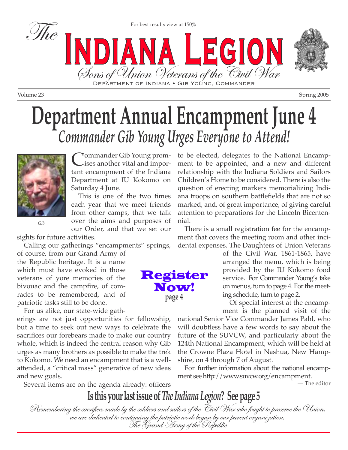

For best results view at 150%

Volume 23 Spring 2005

# **Department Annual Encampment June 4** *Commander Gib Young Urges Everyone to Attend!*

Bons of Union Veterans of the Civil War



Commander Gib Young promises another vital and important encampment of the Indiana Department at IU Kokomo on Saturday 4 June.

This is one of the two times each year that we meet friends from other camps, that we talk over the aims and purposes of our Order, and that we set our

sights for future activities.

Calling our gatherings "encampments" springs,

of course, from our Grand Army of the Republic heritage. It is a name which must have evoked in those veterans of yore memories of the bivouac and the campfire, of comrades to be remembered, and of patriotic tasks still to be done.

For us alike, our state-wide gath-

erings are not just opportunities for fellowship, but a time to seek out new ways to celebrate the sacrifices our forebears made to make our country whole, which is indeed the central reason why Gib urges as many brothers as possible to make the trek to Kokomo. We need an encampment that is a wellattended, a "critical mass" generative of new ideas and new goals.

Several items are on the agenda already: officers

to be elected, delegates to the National Encampment to be appointed, and a new and different relationship with the Indiana Soldiers and Sailors Children's Home to be considered. There is also the question of erecting markers memorializing Indiana troops on southern battlefields that are not so marked, and, of great importance, of giving careful attention to preparations for the Lincoln Bicentennial.

There is a small registration fee for the encampment that covers the meeting room and other incidental expenses. The Daughters of Union Veterans

> of the Civil War, 1861-1865, have arranged the menu, which is being provided by the IU Kokomo food service. For Commander Young's take on menus, turn to page 4. For the meeting schedule, turn to page 2.

> Of special interest at the encampment is the planned visit of the

national Senior Vice Commander James Pahl, who will doubtless have a few words to say about the future of the SUVCW, and particularly about the 124th National Encampment, which will be held at the Crowne Plaza Hotel in Nashua, New Hampshire, on 4 through 7 of August.

For further information about the national encampment see http://www.suvcw.org/encampment.

— The editor

**Is this your last issue of** *The Indiana Legion***? See page 5**

Remembering the sacrifices made by the soldiers and sailors of the 'Eivil War who fought to preserve the Union,<br>we are dedicated to continuing the patriotic work begun by our parent organization,<br>The Grand Army of the Repu

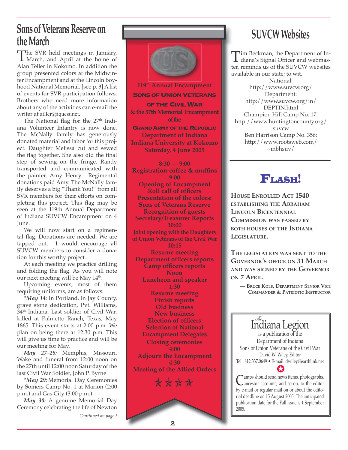### **Sons of Veterans Reserve on the March**

The SVR held meetings in January,<br>March, and April at the home of<br>Alan Teller in Kokomo In addition the Alan Teller in Kokomo. In addition the group presented colors at the Midwinter Encampment and at the Lincoln Boyhood National Memorial. [see p. 3] A list of events for SVR participation follows. Brothers who need more information about any of the activities can e-mail the writer at atller@iquest.net.

The National flag for the 27<sup>th</sup> Indiana Volunteer Infantry is now done. The McNally family has generously donated material and labor for this project. Daughter Melissa cut and sewed the flag together. She also did the final step of sewing on the fringe. Randy transported and communicated with the painter, Amy Henry. Regimental donations paid Amy. The McNally family deserves a big "Thank You!" from all SVR members for their efforts on completing this project. This flag may be seen at the 119th Annual Department of Indiana SUVCW Encampment on 4 June.

We will now start on a regimental flag. Donations are needed. We are tapped out. I would encourage all SUVCW members to consider a donation for this worthy project.

At each meeting we practice drilling and folding the flag. As you will note our next meeting will be May 14<sup>th</sup>.

Upcoming events, most of them requiring uniforms, are as follows:

*\*May 14:* In Portland, in Jay County, grave stone dedication, Pvt. Williams, 34th Indiana. Last soldier of Civil War, killed at Palmetto Ranch, Texas, May 1865. This event starts at 2:00 p.m. We plan on being there at 12:30 p.m. This will give us time to practice and will be our meeting for May.

*May 27–28:* Memphis, Missouri. Wake and funeral from 12:00 noon on the 27th until 12:00 noon Saturday of the last Civil War Soldier, John P. Byrne

*\*May 29:* Memorial Day Ceremonies by Somers Camp No. 1 at Marion (2:00 p.m.) and Gas City (3:00 p.m.)

*May 30:* A genuine Memorial Day Ceremony celebrating the life of Newton

*Continued on page 3*

**119th Annual Encampment SONS OF UNION VETERANS OF THE CIVIL WAR & the 57th Memorial Encampment of the GRAND ARMY OF THE REPUBLIC Department of Indiana Indiana University at Kokomo Saturday, 4 June 2005**

**8:30 — 9:00 Registration-coffee & muffins 9:00 Opening of Encampment Roll call of officers Presentation of the colors: Sons of Veterans Reserve Recognition of guests Secretary/Treasurer Reports 10:00 Joint opening with the Daughters of Union Veterans of the Civil War 10:15 Resume meeting Department officers reports Camp officers reports Noon Luncheon and speaker 1:30 Resume meeting Finish reports Old business New business Election of officers Selection of National Encampment Delegates Closing ceremonies 4:00 Adjourn the Encampment 4:30 Meeting of the Allied Orders \*\*\*\*** 

# **SUVCW Websites**

Tim Beckman, the Department of In-<br>diana's Signal Officer and webmas-<br>ter reminds us of the SUVCW vebsites ter, reminds us of the SUVCW websites available in our state; to wit, National: http://www.suvcw.org/ Department: http://www.suvcw.org/in/ DEPTIN.html Champion Hill Camp No. 17: http://www.huntingtoncounty.org/ suvcw Ben Harrison Camp No. 356: http://www.rootsweb.com/  $\sim$ inbhsuv/

### FLASH!

**HOUSE ENROLLED ACT 1540 ESTABLISHING THE ABRAHAM LINCOLN BICENTENNIAL COMMISSION WAS PASSED BY BOTH HOUSES OF THE INDIANA LEGISLATURE.**

**THE LEGISLATION WAS SENT TO THE GOVERNOR'S OFFICE ON 31 MARCH AND WAS SIGNED BY THE GOVERNOR ON 7 APRIL.** 

**— BRUCE KOLB, DEPARTMENT SENIOR VICE COMMANDER & PATRIOTIC INSTRUCTOR**

The Indiana Legion is a publication of the Department of Indiana Sons of Union Veterans of the Civil War David W. Wiley, Editor Tel.: 812.337.0649 • E-mail: dwiley@earthlink.net ✪

**C** amps should send news items, photographs,<br>ancestor accounts, and so on, to the editor by e-mail or regular mail on or about the editorial deadline on 15 August 2005. The anticipated publication date for the Fall issue is 1 September 2005.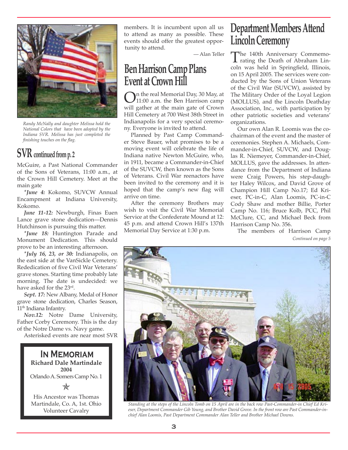

*Randy McNally and daughter Melissa hold the National Colors that have been adopted by the Indiana SVR. Melissa has just completed the finishing touches on the flag.*

### **SVR continued from p. 2**

McGuire, a Past National Commander of the Sons of Veterans, 11:00 a.m., at the Crown Hill Cemetery. Meet at the main gate

*\*June 4:* Kokomo, SUVCW Annual Encampment at Indiana University, Kokomo.

*June 11-12:* Newburgh, Finas Euen Lance grave stone dedication—Dennis Hutchinson is pursuing this matter.

*\*June 18:* Huntington Parade and Monument Dedication. This should prove to be an interesting afternoon.

*\*July 16, 23, or 30:* Indianapolis, on the east side at the VanSickle Cemetery. Rededication of five Civil War Veterans' grave stones. Starting time probably late morning. The date is undecided: we have asked for the 23rd.

*Sept. 17:* New Albany, Medal of Honor grave stone dedication, Charles Season, 11<sup>th</sup> Indiana Infantry.

*Nov.12:* Notre Dame University, Father Corby Ceremony. This is the day of the Notre Dame vs. Navy game.

Asterisked events are near most SVR

**In Memoriam Richard Dale Martindale 2004** Orlando A. Somers Camp No. 1 His Ancestor was Thomas ✯

Martindale, Co. A, 1st. Ohio Volunteer Cavalry

members. It is incumbent upon all us to attend as many as possible. These events should offer the greatest opportunity to attend.

— Alan Teller

### **Ben Harrison Camp Plans Event at Crown Hill**

**On** the real Memorial Day, 30 May, at 11:00 a.m. the Ben Harrison camp will gather at the main gate of Crown Hill Cemetery at 700 West 38th Street in Indianapolis for a very special ceremony. Everyone is invited to attend.

Planned by Past Camp Commander Steve Bauer, what promises to be a moving event will celebrate the life of Indiana native Newton McGuire, who, in 1911, became a Commander-in-Chief of the SUVCW, then known as the Sons of Veterans. Civil War reenactors have been invited to the ceremony and it is hoped that the camp's new flag will arrive on time.

After the ceremony Brothers may wish to visit the Civil War Memorial Service at the Confederate Mound at 12: 45 p.m. and attend Crown Hill's 137th Memorial Day Service at 1:30 p.m.

### **Department Members Attend Lincoln Ceremony**

The 140th Anniversary Commemo-<br>rating the Death of Abraham Lin-<br>coln was hold in Springfold Illinois coln was held in Springfield, Illinois, on 15 April 2005. The services were conducted by the Sons of Union Veterans of the Civil War (SUVCW), assisted by The Military Order of the Loyal Legion (MOLLUS), and the Lincoln Deathday Association, Inc., with participation by other patriotic societies and veterans' organizations.

Our own Alan R. Loomis was the cochairman of the event and the master of ceremonies. Stephen A. Michaels, Commander-in-Chief, SUVCW, and Douglas R. Niemeyer, Commander-in-Chief, MOLLUS, gave the addresses. In attendance from the Department of Indiana were Craig Powers, his step-daughter Haley Wilcox, and David Grove of Champion Hill Camp No.17; Ed Krieser, PC-in-C, Alan Loomis, PC-in-C Cody Shaw and mother Billie, Porter Camp No. 116; Bruce Kolb, PCC, Phil McClure, CC, and Michael Beck from Harrison Camp No. 356.

The members of Harrison Camp *Continued on page 5* 



*Standing at the steps of the Lincoln Tomb on 15 April are in the back row Past-Commander-in Chief Ed Krieser, Department Commander Gib Young, and Brother David Grove. In the front row are Past Commander-inchief Alan Loomis, Past Department Commander Alan Teller and Brother Michael Downs.*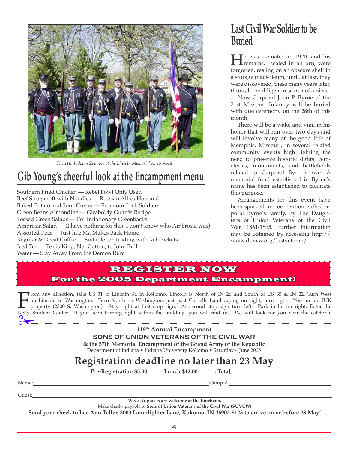

*The 11th Indiana Zouaves at the Lincoln Memorial on 15 April*

## **Gib Young's cheerful look at the Encampment menu**

Southern Fried Chicken — Rebel Fowl Only Used Beef Stroganoff with Noodles — Russian Allies Honored Baked Potato and Sour Cream — From our Irish Soldiers Green Beans Almondine — Giraboldy Guards Recipe Tossed Green Salads — For Inflationary Greenbacks Ambrosia Salad — (I have nothing for this. I don't know who Ambrosia was) Assorted Peas — Just like Ma Makes Back Home Regular & Decaf Coffee — Suitable for Trading with Reb Pickets Iced Tea — Tea is King, Not Cotton, to John Bull Water — Stay Away From the Demon Rum

### **Last Civil War Soldier to be Buried**

**H**e was cremated in 1920, and his<br>remains, sealed in an urn, were<br>forgatten regting on an observe chelf in forgotten, resting on an obscure shelf in a storage mausoleum, until, at last, they were discovered, these many years later, through the diligent research of a niece.

Now Corporal John P. Byrne of the 21st Missouri Infantry will be buried with due ceremony on the 28th of this month.

There will be a wake and vigil in his honor that will run over two days and will involve many of the good folk of Memphis, Missouri, in several related community events high lighting the need to preserve historic sights, cemeteries, monuments, and battlefields related to Corporal Byrne's war. A memorial fund established in Byrne's name has been established to facilitate this purpose.

Arrangements for this event have been sparked, in cooperation with Corporal Byrne's family, by The Daughters of Union Veterans of the Civil War, 1861-1865. Further information may be obtained by accessing http:// www.duvcw.org/lastveteran/

#### REGISTER NOW For the 2005 Department Encampment!

From any direction, take US 31 to Lincoln St. in Kokomo. Lincoln is North of IN 26 and South of US 35 & IN 22. Turn West<br>on Lincoln to Washington. Turn North on Washington: just past Cossells Landscaping on right; turn rig on Lincoln to Washington. Turn North on Washington: just past Cossells Landscaping on right; turn right. You are on IUK property (2300 S. Washington). Stay right at first stop sign. At second stop sign turn left. Park in lot on right. Enter the Kelly Student Center. If you keep turning right within the building, you will find us. We will look for you near the cafeteria. ✁

**119th Annual Encampment SONS OF UNION VETERANS OF THE CIVIL WAR & the 57th Memorial Encampment of the Grand Army of the Republic**

Department of Indiana • Indiana University Kokomo • Saturday 4 June 2005

### **Registration deadline no later than 23 May**

**Pre-Registration \$5.00\_\_\_\_\_\_Lunch \$12.00\_\_\_\_\_\_: Total\_\_\_\_\_\_\_\_\_**

Name:\_\_\_\_\_\_\_\_\_\_\_\_\_\_\_\_\_\_\_\_\_\_\_\_\_\_\_\_\_\_\_\_\_\_\_\_\_\_\_\_\_\_\_\_\_\_\_\_\_\_\_\_\_\_\_\_\_\_\_\_\_\_\_\_\_\_\_\_\_Camp # \_\_\_\_\_\_\_\_\_\_\_\_\_\_\_\_\_\_\_\_\_\_\_\_\_\_\_\_\_\_\_\_\_\_\_\_\_\_\_\_

Guest:\_\_\_\_\_\_\_\_\_\_\_\_\_\_\_\_\_\_\_\_\_\_\_\_\_\_\_\_\_\_\_\_\_\_\_\_\_\_\_\_\_\_\_\_\_\_\_\_\_\_\_\_\_\_\_\_\_\_\_\_\_\_\_\_\_\_\_\_\_\_\_\_\_\_\_\_\_\_\_\_\_\_\_\_\_\_\_\_\_\_\_\_\_\_\_\_\_\_\_\_\_\_\_\_\_\_\_\_\_\_\_\_\_\_\_\_\_

**Wives & guests are welcome at the luncheon.**

Make checks payable to **Sons of Union Veterans of the Civil War (SUVCW)**

**Send your check to Lee Ann Teller, 3003 Lamplighter Lane, Kokomo, IN 46902-8125 to arrive on or before 23 May!**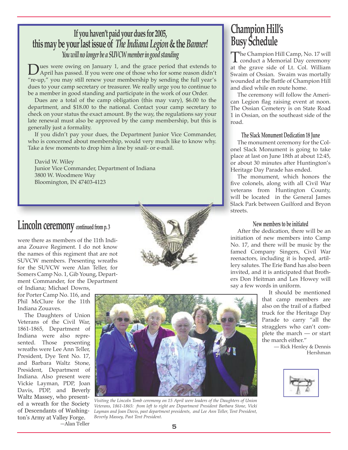### **If you haven't paid your dues for 2005, this may be your last issue of** *The Indiana Legion* **& the** *Banner! You will no longer be a SUVCW member in good standing*

Dues were owing on January 1, and the grace period that extends to April has passed. If you were one of those who for some reason didn't " "re-up," you may still renew your membership by sending the full year's dues to your camp secretary or treasurer. We really urge you to continue to be a member in good standing and participate in the work of our Order.

Dues are a total of the camp obligation (this may vary), \$6.00 to the department, and \$18.00 to the national. Contact your camp secretary to check on your status the exact amount. By the way, the regulations say your late renewal must also be approved by the camp membership, but this is generally just a formality.

If you didn't pay your dues, the Department Junior Vice Commander, who is concerned about membership, would very much like to know why. Take a few moments to drop him a line by snail- or e-mail.

David W. Wiley Junior Vice Commander, Department of Indiana 3800 W. Woodmere Way Bloomington, IN 47403-4123

### **Lincoln ceremony continued from p. 3**

were there as members of the 11th Indiana Zouave Regiment. I do not know the names of this regiment that are not SUVCW members. Presenting wreaths for the SUVCW were Alan Teller, for Somers Camp No. 1, Gib Young, Department Commander, for the Department

of Indiana; Michael Downs, for Porter Camp No. 116, and Phil McClure for the 11th Indiana Zouaves.

The Daughters of Union Veterans of the Civil War, 1861-1865, Department of Indiana were also represented. Those presenting wreaths were Lee Ann Teller, President, Dye Tent No. 17, and Barbara Waltz Stone, President, Department of Indiana. Also present were Vickie Layman, PDP, Joan Davis, PDP, and Beverly Waltz Massey, who presented a wreath for the Society of Descendants of Washington's Army at Valley Forge. —Alan Teller

*Visiting the Lincoln Tomb ceremony on 15 April were leaders of the Daughters of Union Veterans, 1861-1865: from left to right are Department President Barbara Stone, Vicki Layman and Joan Davis, past department presidents, and Lee Ann Teller, Tent President, Beverly Massey, Past Tent President.*

### **Champion Hill's Busy Schedule**

The Champion Hill Camp, No. 17 will<br>conduct a Memorial Day ceremony<br>at the grave side of I t, Col. William at the grave side of Lt. Col. William Swaim of Ossian. Swaim was mortally wounded at the Battle of Champion Hill and died while en route home.

The ceremony will follow the American Legion flag raising event at noon. The Ossian Cemetery is on State Road 1 in Ossian, on the southeast side of the road.

#### **The Slack Monument Dedication 18 June**

The monument ceremony for the Colonel Slack Monument is going to take place at last on June 18th at about 12:45, or about 30 minutes after Huntington's Heritage Day Parade has ended.

The monument, which honors the five colonels, along with all Civil War veterans from Huntington County, will be located in the General James Slack Park between Guilford and Bryon streets.

#### **New members to be initiated**

After the dedication, there will be an initiation of new members into Camp No. 17, and there will be music by the famed Company Singers, Civil War reenactors, including it is hoped, artillery salutes. The Erie Band has also been invited, and it is anticipated that Brothers Don Heitman and Les Howey will say a few words in uniform.

It should be mentioned that camp members are also on the trail of a flatbed truck for the Heritage Day Parade to carry "all the stragglers who can't complete the march — or start the march either."

— Rick Henley & Dennis Hershman